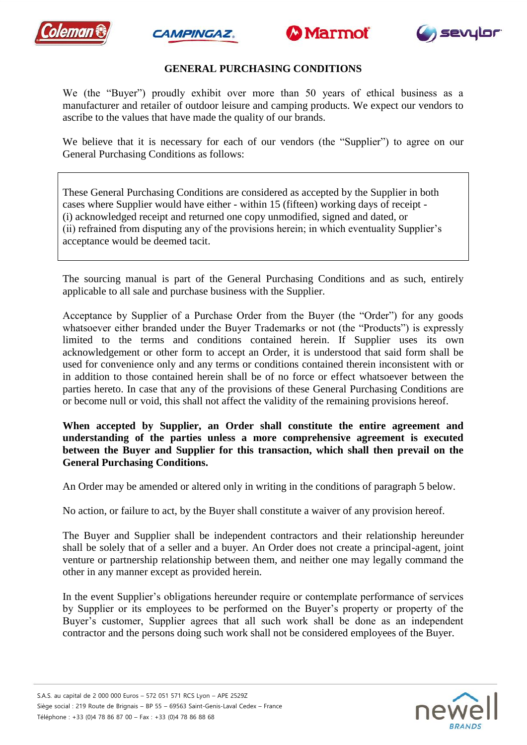







# **GENERAL PURCHASING CONDITIONS**

We (the "Buyer") proudly exhibit over more than 50 years of ethical business as a manufacturer and retailer of outdoor leisure and camping products. We expect our vendors to ascribe to the values that have made the quality of our brands.

We believe that it is necessary for each of our vendors (the "Supplier") to agree on our General Purchasing Conditions as follows:

These General Purchasing Conditions are considered as accepted by the Supplier in both cases where Supplier would have either - within 15 (fifteen) working days of receipt - (i) acknowledged receipt and returned one copy unmodified, signed and dated, or (ii) refrained from disputing any of the provisions herein; in which eventuality Supplier's acceptance would be deemed tacit.

The sourcing manual is part of the General Purchasing Conditions and as such, entirely applicable to all sale and purchase business with the Supplier.

Acceptance by Supplier of a Purchase Order from the Buyer (the "Order") for any goods whatsoever either branded under the Buyer Trademarks or not (the "Products") is expressly limited to the terms and conditions contained herein. If Supplier uses its own acknowledgement or other form to accept an Order, it is understood that said form shall be used for convenience only and any terms or conditions contained therein inconsistent with or in addition to those contained herein shall be of no force or effect whatsoever between the parties hereto. In case that any of the provisions of these General Purchasing Conditions are or become null or void, this shall not affect the validity of the remaining provisions hereof.

#### **When accepted by Supplier, an Order shall constitute the entire agreement and understanding of the parties unless a more comprehensive agreement is executed between the Buyer and Supplier for this transaction, which shall then prevail on the General Purchasing Conditions.**

An Order may be amended or altered only in writing in the conditions of paragraph 5 below.

No action, or failure to act, by the Buyer shall constitute a waiver of any provision hereof.

The Buyer and Supplier shall be independent contractors and their relationship hereunder shall be solely that of a seller and a buyer. An Order does not create a principal-agent, joint venture or partnership relationship between them, and neither one may legally command the other in any manner except as provided herein.

In the event Supplier's obligations hereunder require or contemplate performance of services by Supplier or its employees to be performed on the Buyer's property or property of the Buyer's customer, Supplier agrees that all such work shall be done as an independent contractor and the persons doing such work shall not be considered employees of the Buyer.

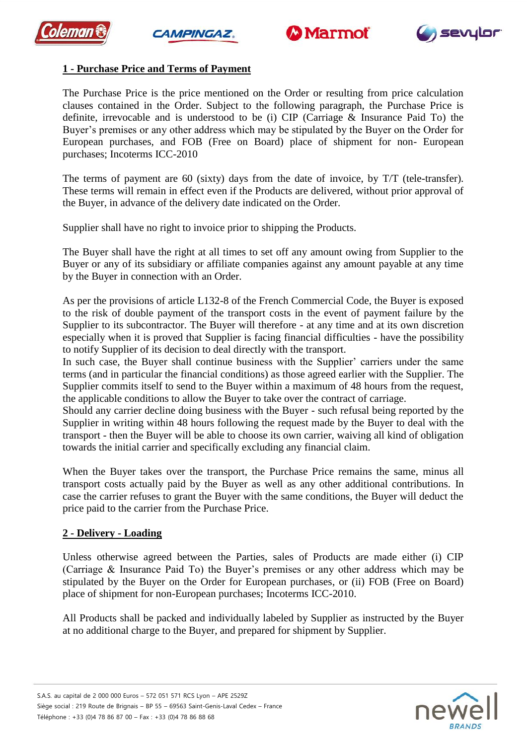







## **1 - Purchase Price and Terms of Payment**

The Purchase Price is the price mentioned on the Order or resulting from price calculation clauses contained in the Order. Subject to the following paragraph, the Purchase Price is definite, irrevocable and is understood to be (i) CIP (Carriage & Insurance Paid To) the Buyer's premises or any other address which may be stipulated by the Buyer on the Order for European purchases, and FOB (Free on Board) place of shipment for non- European purchases; Incoterms ICC-2010

The terms of payment are 60 (sixty) days from the date of invoice, by T/T (tele-transfer). These terms will remain in effect even if the Products are delivered, without prior approval of the Buyer, in advance of the delivery date indicated on the Order.

Supplier shall have no right to invoice prior to shipping the Products.

The Buyer shall have the right at all times to set off any amount owing from Supplier to the Buyer or any of its subsidiary or affiliate companies against any amount payable at any time by the Buyer in connection with an Order.

As per the provisions of article L132-8 of the French Commercial Code, the Buyer is exposed to the risk of double payment of the transport costs in the event of payment failure by the Supplier to its subcontractor. The Buyer will therefore - at any time and at its own discretion especially when it is proved that Supplier is facing financial difficulties - have the possibility to notify Supplier of its decision to deal directly with the transport.

In such case, the Buyer shall continue business with the Supplier' carriers under the same terms (and in particular the financial conditions) as those agreed earlier with the Supplier. The Supplier commits itself to send to the Buyer within a maximum of 48 hours from the request, the applicable conditions to allow the Buyer to take over the contract of carriage.

Should any carrier decline doing business with the Buyer - such refusal being reported by the Supplier in writing within 48 hours following the request made by the Buyer to deal with the transport - then the Buyer will be able to choose its own carrier, waiving all kind of obligation towards the initial carrier and specifically excluding any financial claim.

When the Buyer takes over the transport, the Purchase Price remains the same, minus all transport costs actually paid by the Buyer as well as any other additional contributions. In case the carrier refuses to grant the Buyer with the same conditions, the Buyer will deduct the price paid to the carrier from the Purchase Price.

## **2 - Delivery - Loading**

Unless otherwise agreed between the Parties, sales of Products are made either (i) CIP (Carriage & Insurance Paid To) the Buyer's premises or any other address which may be stipulated by the Buyer on the Order for European purchases, or (ii) FOB (Free on Board) place of shipment for non-European purchases; Incoterms ICC-2010.

All Products shall be packed and individually labeled by Supplier as instructed by the Buyer at no additional charge to the Buyer, and prepared for shipment by Supplier.

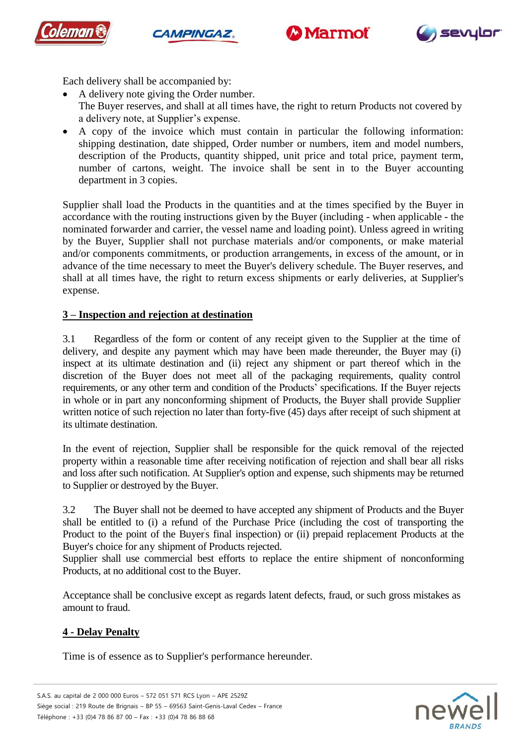







Each delivery shall be accompanied by:

- A delivery note giving the Order number. The Buyer reserves, and shall at all times have, the right to return Products not covered by a delivery note, at Supplier's expense.
- A copy of the invoice which must contain in particular the following information: shipping destination, date shipped, Order number or numbers, item and model numbers, description of the Products, quantity shipped, unit price and total price, payment term, number of cartons, weight. The invoice shall be sent in to the Buyer accounting department in 3 copies.

Supplier shall load the Products in the quantities and at the times specified by the Buyer in accordance with the routing instructions given by the Buyer (including - when applicable - the nominated forwarder and carrier, the vessel name and loading point). Unless agreed in writing by the Buyer, Supplier shall not purchase materials and/or components, or make material and/or components commitments, or production arrangements, in excess of the amount, or in advance of the time necessary to meet the Buyer's delivery schedule. The Buyer reserves, and shall at all times have, the right to return excess shipments or early deliveries, at Supplier's expense.

#### **3 – Inspection and rejection at destination**

3.1 Regardless of the form or content of any receipt given to the Supplier at the time of delivery, and despite any payment which may have been made thereunder, the Buyer may (i) inspect at its ultimate destination and (ii) reject any shipment or part thereof which in the discretion of the Buyer does not meet all of the packaging requirements, quality control requirements, or any other term and condition of the Products' specifications. If the Buyer rejects in whole or in part any nonconforming shipment of Products, the Buyer shall provide Supplier written notice of such rejection no later than forty-five (45) days after receipt of such shipment at its ultimate destination.

In the event of rejection, Supplier shall be responsible for the quick removal of the rejected property within a reasonable time after receiving notification of rejection and shall bear all risks and loss after such notification. At Supplier's option and expense, such shipments may be returned to Supplier or destroyed by the Buyer.

3.2 The Buyer shall not be deemed to have accepted any shipment of Products and the Buyer shall be entitled to (i) a refund of the Purchase Price (including the cost of transporting the Product to the point of the Buyer's final inspection) or (ii) prepaid replacement Products at the Buyer's choice for any shipment of Products rejected.

Supplier shall use commercial best efforts to replace the entire shipment of nonconforming Products, at no additional cost to the Buyer.

Acceptance shall be conclusive except as regards latent defects, fraud, or such gross mistakes as amount to fraud.

## **4 - Delay Penalty**

Time is of essence as to Supplier's performance hereunder.

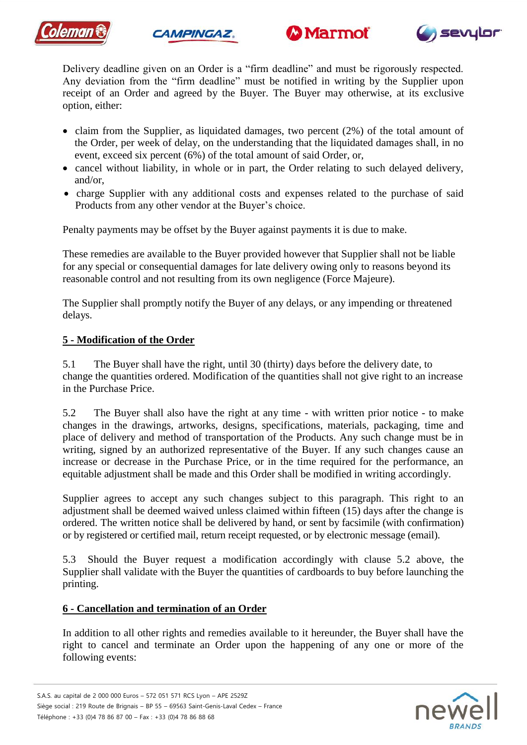







Delivery deadline given on an Order is a "firm deadline" and must be rigorously respected. Any deviation from the "firm deadline" must be notified in writing by the Supplier upon receipt of an Order and agreed by the Buyer. The Buyer may otherwise, at its exclusive option, either:

- claim from the Supplier, as liquidated damages, two percent (2%) of the total amount of the Order, per week of delay, on the understanding that the liquidated damages shall, in no event, exceed six percent (6%) of the total amount of said Order, or,
- cancel without liability, in whole or in part, the Order relating to such delayed delivery, and/or,
- charge Supplier with any additional costs and expenses related to the purchase of said Products from any other vendor at the Buyer's choice.

Penalty payments may be offset by the Buyer against payments it is due to make.

These remedies are available to the Buyer provided however that Supplier shall not be liable for any special or consequential damages for late delivery owing only to reasons beyond its reasonable control and not resulting from its own negligence (Force Majeure).

The Supplier shall promptly notify the Buyer of any delays, or any impending or threatened delays.

## **5 - Modification of the Order**

5.1 The Buyer shall have the right, until 30 (thirty) days before the delivery date, to change the quantities ordered. Modification of the quantities shall not give right to an increase in the Purchase Price.

5.2 The Buyer shall also have the right at any time - with written prior notice - to make changes in the drawings, artworks, designs, specifications, materials, packaging, time and place of delivery and method of transportation of the Products. Any such change must be in writing, signed by an authorized representative of the Buyer. If any such changes cause an increase or decrease in the Purchase Price, or in the time required for the performance, an equitable adjustment shall be made and this Order shall be modified in writing accordingly.

Supplier agrees to accept any such changes subject to this paragraph. This right to an adjustment shall be deemed waived unless claimed within fifteen (15) days after the change is ordered. The written notice shall be delivered by hand, or sent by facsimile (with confirmation) or by registered or certified mail, return receipt requested, or by electronic message (email).

5.3 Should the Buyer request a modification accordingly with clause 5.2 above, the Supplier shall validate with the Buyer the quantities of cardboards to buy before launching the printing.

## **6 - Cancellation and termination of an Order**

In addition to all other rights and remedies available to it hereunder, the Buyer shall have the right to cancel and terminate an Order upon the happening of any one or more of the following events:

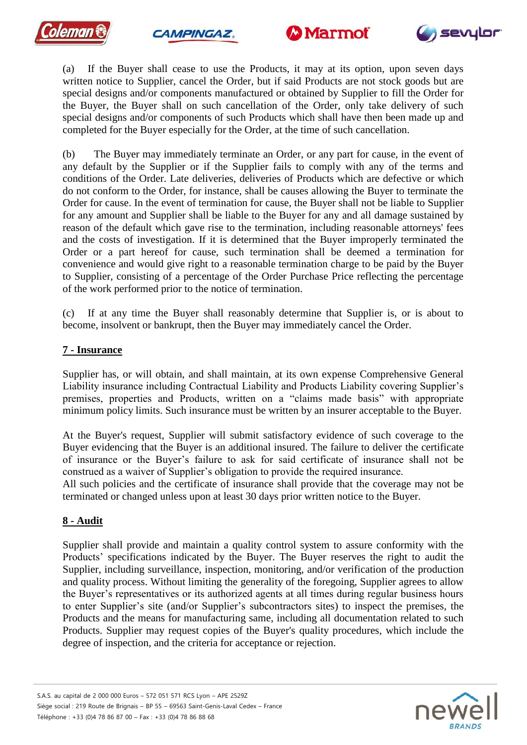







(a) If the Buyer shall cease to use the Products, it may at its option, upon seven days written notice to Supplier, cancel the Order, but if said Products are not stock goods but are special designs and/or components manufactured or obtained by Supplier to fill the Order for the Buyer, the Buyer shall on such cancellation of the Order, only take delivery of such special designs and/or components of such Products which shall have then been made up and completed for the Buyer especially for the Order, at the time of such cancellation.

(b) The Buyer may immediately terminate an Order, or any part for cause, in the event of any default by the Supplier or if the Supplier fails to comply with any of the terms and conditions of the Order. Late deliveries, deliveries of Products which are defective or which do not conform to the Order, for instance, shall be causes allowing the Buyer to terminate the Order for cause. In the event of termination for cause, the Buyer shall not be liable to Supplier for any amount and Supplier shall be liable to the Buyer for any and all damage sustained by reason of the default which gave rise to the termination, including reasonable attorneys' fees and the costs of investigation. If it is determined that the Buyer improperly terminated the Order or a part hereof for cause, such termination shall be deemed a termination for convenience and would give right to a reasonable termination charge to be paid by the Buyer to Supplier, consisting of a percentage of the Order Purchase Price reflecting the percentage of the work performed prior to the notice of termination.

(c) If at any time the Buyer shall reasonably determine that Supplier is, or is about to become, insolvent or bankrupt, then the Buyer may immediately cancel the Order.

## **7 - Insurance**

Supplier has, or will obtain, and shall maintain, at its own expense Comprehensive General Liability insurance including Contractual Liability and Products Liability covering Supplier's premises, properties and Products, written on a "claims made basis" with appropriate minimum policy limits. Such insurance must be written by an insurer acceptable to the Buyer.

At the Buyer's request, Supplier will submit satisfactory evidence of such coverage to the Buyer evidencing that the Buyer is an additional insured. The failure to deliver the certificate of insurance or the Buyer's failure to ask for said certificate of insurance shall not be construed as a waiver of Supplier's obligation to provide the required insurance.

All such policies and the certificate of insurance shall provide that the coverage may not be terminated or changed unless upon at least 30 days prior written notice to the Buyer.

#### **8 - Audit**

Supplier shall provide and maintain a quality control system to assure conformity with the Products' specifications indicated by the Buyer. The Buyer reserves the right to audit the Supplier, including surveillance, inspection, monitoring, and/or verification of the production and quality process. Without limiting the generality of the foregoing, Supplier agrees to allow the Buyer's representatives or its authorized agents at all times during regular business hours to enter Supplier's site (and/or Supplier's subcontractors sites) to inspect the premises, the Products and the means for manufacturing same, including all documentation related to such Products. Supplier may request copies of the Buyer's quality procedures, which include the degree of inspection, and the criteria for acceptance or rejection.

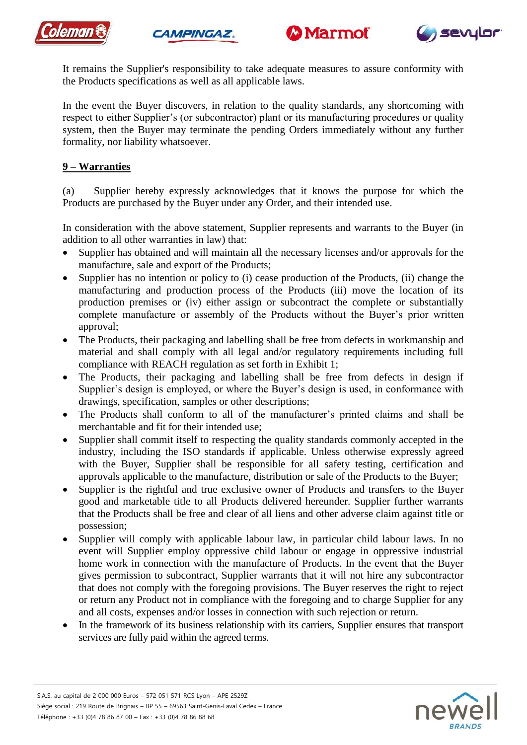







It remains the Supplier's responsibility to take adequate measures to assure conformity with the Products specifications as well as all applicable laws.

In the event the Buyer discovers, in relation to the quality standards, any shortcoming with respect to either Supplier's (or subcontractor) plant or its manufacturing procedures or quality system, then the Buyer may terminate the pending Orders immediately without any further formality, nor liability whatsoever.

# **9 – Warranties**

(a) Supplier hereby expressly acknowledges that it knows the purpose for which the Products are purchased by the Buyer under any Order, and their intended use.

In consideration with the above statement, Supplier represents and warrants to the Buyer (in addition to all other warranties in law) that:

- Supplier has obtained and will maintain all the necessary licenses and/or approvals for the manufacture, sale and export of the Products;
- Supplier has no intention or policy to (i) cease production of the Products, (ii) change the manufacturing and production process of the Products (iii) move the location of its production premises or (iv) either assign or subcontract the complete or substantially complete manufacture or assembly of the Products without the Buyer's prior written approval;
- The Products, their packaging and labelling shall be free from defects in workmanship and material and shall comply with all legal and/or regulatory requirements including full compliance with REACH regulation as set forth in Exhibit 1;
- The Products, their packaging and labelling shall be free from defects in design if Supplier's design is employed, or where the Buyer's design is used, in conformance with drawings, specification, samples or other descriptions;
- The Products shall conform to all of the manufacturer's printed claims and shall be merchantable and fit for their intended use;
- Supplier shall commit itself to respecting the quality standards commonly accepted in the industry, including the ISO standards if applicable. Unless otherwise expressly agreed with the Buyer, Supplier shall be responsible for all safety testing, certification and approvals applicable to the manufacture, distribution or sale of the Products to the Buyer;
- Supplier is the rightful and true exclusive owner of Products and transfers to the Buyer good and marketable title to all Products delivered hereunder. Supplier further warrants that the Products shall be free and clear of all liens and other adverse claim against title or possession;
- Supplier will comply with applicable labour law, in particular child labour laws. In no event will Supplier employ oppressive child labour or engage in oppressive industrial home work in connection with the manufacture of Products. In the event that the Buyer gives permission to subcontract, Supplier warrants that it will not hire any subcontractor that does not comply with the foregoing provisions. The Buyer reserves the right to reject or return any Product not in compliance with the foregoing and to charge Supplier for any and all costs, expenses and/or losses in connection with such rejection or return.
- In the framework of its business relationship with its carriers, Supplier ensures that transport services are fully paid within the agreed terms.

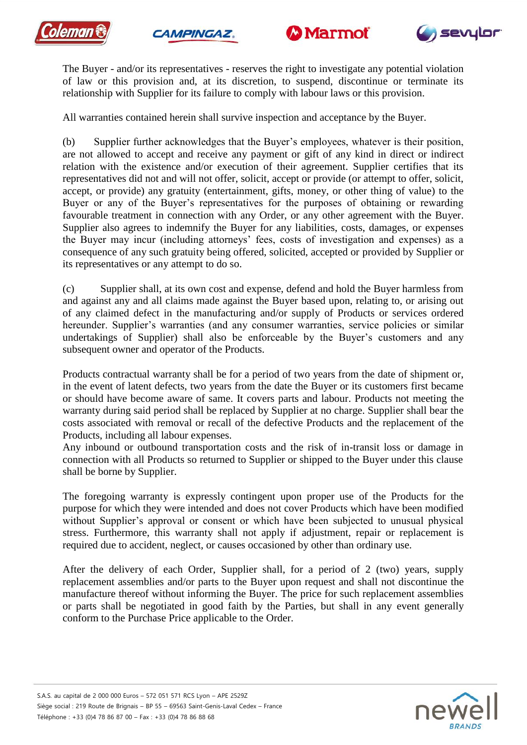







The Buyer - and/or its representatives - reserves the right to investigate any potential violation of law or this provision and, at its discretion, to suspend, discontinue or terminate its relationship with Supplier for its failure to comply with labour laws or this provision.

All warranties contained herein shall survive inspection and acceptance by the Buyer.

(b) Supplier further acknowledges that the Buyer's employees, whatever is their position, are not allowed to accept and receive any payment or gift of any kind in direct or indirect relation with the existence and/or execution of their agreement. Supplier certifies that its representatives did not and will not offer, solicit, accept or provide (or attempt to offer, solicit, accept, or provide) any gratuity (entertainment, gifts, money, or other thing of value) to the Buyer or any of the Buyer's representatives for the purposes of obtaining or rewarding favourable treatment in connection with any Order, or any other agreement with the Buyer. Supplier also agrees to indemnify the Buyer for any liabilities, costs, damages, or expenses the Buyer may incur (including attorneys' fees, costs of investigation and expenses) as a consequence of any such gratuity being offered, solicited, accepted or provided by Supplier or its representatives or any attempt to do so.

(c) Supplier shall, at its own cost and expense, defend and hold the Buyer harmless from and against any and all claims made against the Buyer based upon, relating to, or arising out of any claimed defect in the manufacturing and/or supply of Products or services ordered hereunder. Supplier's warranties (and any consumer warranties, service policies or similar undertakings of Supplier) shall also be enforceable by the Buyer's customers and any subsequent owner and operator of the Products.

Products contractual warranty shall be for a period of two years from the date of shipment or, in the event of latent defects, two years from the date the Buyer or its customers first became or should have become aware of same. It covers parts and labour. Products not meeting the warranty during said period shall be replaced by Supplier at no charge. Supplier shall bear the costs associated with removal or recall of the defective Products and the replacement of the Products, including all labour expenses.

Any inbound or outbound transportation costs and the risk of in-transit loss or damage in connection with all Products so returned to Supplier or shipped to the Buyer under this clause shall be borne by Supplier.

The foregoing warranty is expressly contingent upon proper use of the Products for the purpose for which they were intended and does not cover Products which have been modified without Supplier's approval or consent or which have been subjected to unusual physical stress. Furthermore, this warranty shall not apply if adjustment, repair or replacement is required due to accident, neglect, or causes occasioned by other than ordinary use.

After the delivery of each Order, Supplier shall, for a period of 2 (two) years, supply replacement assemblies and/or parts to the Buyer upon request and shall not discontinue the manufacture thereof without informing the Buyer. The price for such replacement assemblies or parts shall be negotiated in good faith by the Parties, but shall in any event generally conform to the Purchase Price applicable to the Order.

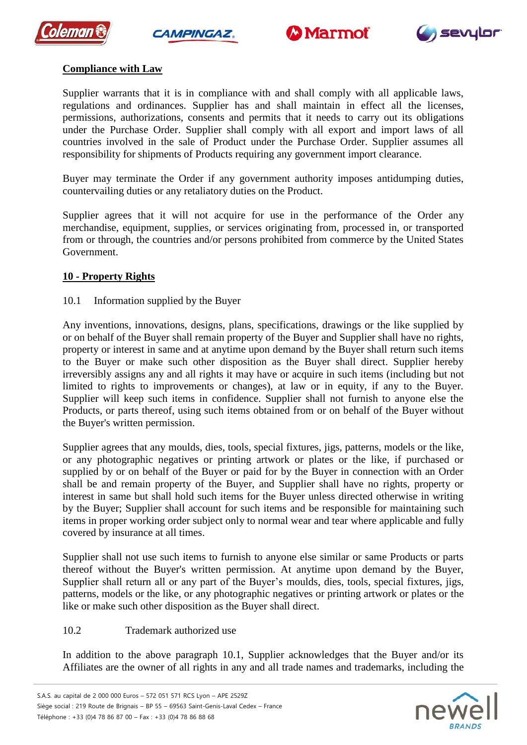







## **Compliance with Law**

Supplier warrants that it is in compliance with and shall comply with all applicable laws, regulations and ordinances. Supplier has and shall maintain in effect all the licenses, permissions, authorizations, consents and permits that it needs to carry out its obligations under the Purchase Order. Supplier shall comply with all export and import laws of all countries involved in the sale of Product under the Purchase Order. Supplier assumes all responsibility for shipments of Products requiring any government import clearance.

Buyer may terminate the Order if any government authority imposes antidumping duties, countervailing duties or any retaliatory duties on the Product.

Supplier agrees that it will not acquire for use in the performance of the Order any merchandise, equipment, supplies, or services originating from, processed in, or transported from or through, the countries and/or persons prohibited from commerce by the United States Government.

## **10 - Property Rights**

## 10.1 Information supplied by the Buyer

Any inventions, innovations, designs, plans, specifications, drawings or the like supplied by or on behalf of the Buyer shall remain property of the Buyer and Supplier shall have no rights, property or interest in same and at anytime upon demand by the Buyer shall return such items to the Buyer or make such other disposition as the Buyer shall direct. Supplier hereby irreversibly assigns any and all rights it may have or acquire in such items (including but not limited to rights to improvements or changes), at law or in equity, if any to the Buyer. Supplier will keep such items in confidence. Supplier shall not furnish to anyone else the Products, or parts thereof, using such items obtained from or on behalf of the Buyer without the Buyer's written permission.

Supplier agrees that any moulds, dies, tools, special fixtures, jigs, patterns, models or the like, or any photographic negatives or printing artwork or plates or the like, if purchased or supplied by or on behalf of the Buyer or paid for by the Buyer in connection with an Order shall be and remain property of the Buyer, and Supplier shall have no rights, property or interest in same but shall hold such items for the Buyer unless directed otherwise in writing by the Buyer; Supplier shall account for such items and be responsible for maintaining such items in proper working order subject only to normal wear and tear where applicable and fully covered by insurance at all times.

Supplier shall not use such items to furnish to anyone else similar or same Products or parts thereof without the Buyer's written permission. At anytime upon demand by the Buyer, Supplier shall return all or any part of the Buyer's moulds, dies, tools, special fixtures, jigs, patterns, models or the like, or any photographic negatives or printing artwork or plates or the like or make such other disposition as the Buyer shall direct.

## 10.2 Trademark authorized use

In addition to the above paragraph 10.1, Supplier acknowledges that the Buyer and/or its Affiliates are the owner of all rights in any and all trade names and trademarks, including the

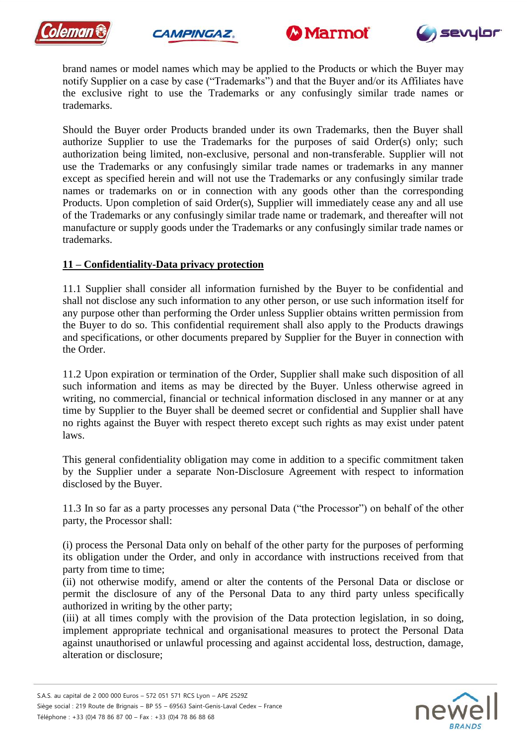







brand names or model names which may be applied to the Products or which the Buyer may notify Supplier on a case by case ("Trademarks") and that the Buyer and/or its Affiliates have the exclusive right to use the Trademarks or any confusingly similar trade names or trademarks.

Should the Buyer order Products branded under its own Trademarks, then the Buyer shall authorize Supplier to use the Trademarks for the purposes of said Order(s) only; such authorization being limited, non-exclusive, personal and non-transferable. Supplier will not use the Trademarks or any confusingly similar trade names or trademarks in any manner except as specified herein and will not use the Trademarks or any confusingly similar trade names or trademarks on or in connection with any goods other than the corresponding Products. Upon completion of said Order(s), Supplier will immediately cease any and all use of the Trademarks or any confusingly similar trade name or trademark, and thereafter will not manufacture or supply goods under the Trademarks or any confusingly similar trade names or trademarks.

#### **11 – Confidentiality-Data privacy protection**

11.1 Supplier shall consider all information furnished by the Buyer to be confidential and shall not disclose any such information to any other person, or use such information itself for any purpose other than performing the Order unless Supplier obtains written permission from the Buyer to do so. This confidential requirement shall also apply to the Products drawings and specifications, or other documents prepared by Supplier for the Buyer in connection with the Order.

11.2 Upon expiration or termination of the Order, Supplier shall make such disposition of all such information and items as may be directed by the Buyer. Unless otherwise agreed in writing, no commercial, financial or technical information disclosed in any manner or at any time by Supplier to the Buyer shall be deemed secret or confidential and Supplier shall have no rights against the Buyer with respect thereto except such rights as may exist under patent laws.

This general confidentiality obligation may come in addition to a specific commitment taken by the Supplier under a separate Non-Disclosure Agreement with respect to information disclosed by the Buyer.

11.3 In so far as a party processes any personal Data ("the Processor") on behalf of the other party, the Processor shall:

(i) process the Personal Data only on behalf of the other party for the purposes of performing its obligation under the Order, and only in accordance with instructions received from that party from time to time;

(ii) not otherwise modify, amend or alter the contents of the Personal Data or disclose or permit the disclosure of any of the Personal Data to any third party unless specifically authorized in writing by the other party;

(iii) at all times comply with the provision of the Data protection legislation, in so doing, implement appropriate technical and organisational measures to protect the Personal Data against unauthorised or unlawful processing and against accidental loss, destruction, damage, alteration or disclosure;

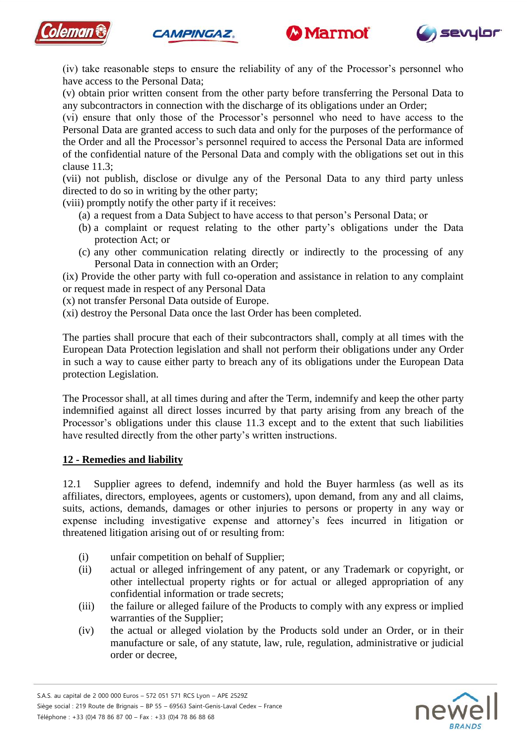







(iv) take reasonable steps to ensure the reliability of any of the Processor's personnel who have access to the Personal Data;

(v) obtain prior written consent from the other party before transferring the Personal Data to any subcontractors in connection with the discharge of its obligations under an Order;

(vi) ensure that only those of the Processor's personnel who need to have access to the Personal Data are granted access to such data and only for the purposes of the performance of the Order and all the Processor's personnel required to access the Personal Data are informed of the confidential nature of the Personal Data and comply with the obligations set out in this clause 11.3;

(vii) not publish, disclose or divulge any of the Personal Data to any third party unless directed to do so in writing by the other party;

(viii) promptly notify the other party if it receives:

- (a) a request from a Data Subject to have access to that person's Personal Data; or
- (b) a complaint or request relating to the other party's obligations under the Data protection Act; or
- (c) any other communication relating directly or indirectly to the processing of any Personal Data in connection with an Order;

(ix) Provide the other party with full co-operation and assistance in relation to any complaint or request made in respect of any Personal Data

(x) not transfer Personal Data outside of Europe.

(xi) destroy the Personal Data once the last Order has been completed.

The parties shall procure that each of their subcontractors shall, comply at all times with the European Data Protection legislation and shall not perform their obligations under any Order in such a way to cause either party to breach any of its obligations under the European Data protection Legislation.

The Processor shall, at all times during and after the Term, indemnify and keep the other party indemnified against all direct losses incurred by that party arising from any breach of the Processor's obligations under this clause 11.3 except and to the extent that such liabilities have resulted directly from the other party's written instructions.

#### **12 - Remedies and liability**

12.1 Supplier agrees to defend, indemnify and hold the Buyer harmless (as well as its affiliates, directors, employees, agents or customers), upon demand, from any and all claims, suits, actions, demands, damages or other injuries to persons or property in any way or expense including investigative expense and attorney's fees incurred in litigation or threatened litigation arising out of or resulting from:

- (i) unfair competition on behalf of Supplier;
- (ii) actual or alleged infringement of any patent, or any Trademark or copyright, or other intellectual property rights or for actual or alleged appropriation of any confidential information or trade secrets;
- (iii) the failure or alleged failure of the Products to comply with any express or implied warranties of the Supplier;
- (iv) the actual or alleged violation by the Products sold under an Order, or in their manufacture or sale, of any statute, law, rule, regulation, administrative or judicial order or decree,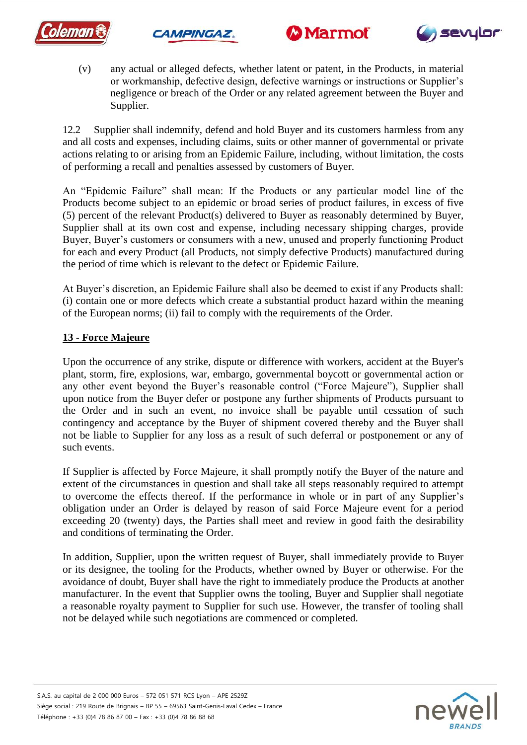







(v) any actual or alleged defects, whether latent or patent, in the Products, in material or workmanship, defective design, defective warnings or instructions or Supplier's negligence or breach of the Order or any related agreement between the Buyer and Supplier.

12.2 Supplier shall indemnify, defend and hold Buyer and its customers harmless from any and all costs and expenses, including claims, suits or other manner of governmental or private actions relating to or arising from an Epidemic Failure, including, without limitation, the costs of performing a recall and penalties assessed by customers of Buyer.

An "Epidemic Failure" shall mean: If the Products or any particular model line of the Products become subject to an epidemic or broad series of product failures, in excess of five (5) percent of the relevant Product(s) delivered to Buyer as reasonably determined by Buyer, Supplier shall at its own cost and expense, including necessary shipping charges, provide Buyer, Buyer's customers or consumers with a new, unused and properly functioning Product for each and every Product (all Products, not simply defective Products) manufactured during the period of time which is relevant to the defect or Epidemic Failure.

At Buyer's discretion, an Epidemic Failure shall also be deemed to exist if any Products shall: (i) contain one or more defects which create a substantial product hazard within the meaning of the European norms; (ii) fail to comply with the requirements of the Order.

# **13 - Force Majeure**

Upon the occurrence of any strike, dispute or difference with workers, accident at the Buyer's plant, storm, fire, explosions, war, embargo, governmental boycott or governmental action or any other event beyond the Buyer's reasonable control ("Force Majeure"), Supplier shall upon notice from the Buyer defer or postpone any further shipments of Products pursuant to the Order and in such an event, no invoice shall be payable until cessation of such contingency and acceptance by the Buyer of shipment covered thereby and the Buyer shall not be liable to Supplier for any loss as a result of such deferral or postponement or any of such events.

If Supplier is affected by Force Majeure, it shall promptly notify the Buyer of the nature and extent of the circumstances in question and shall take all steps reasonably required to attempt to overcome the effects thereof. If the performance in whole or in part of any Supplier's obligation under an Order is delayed by reason of said Force Majeure event for a period exceeding 20 (twenty) days, the Parties shall meet and review in good faith the desirability and conditions of terminating the Order.

In addition, Supplier, upon the written request of Buyer, shall immediately provide to Buyer or its designee, the tooling for the Products, whether owned by Buyer or otherwise. For the avoidance of doubt, Buyer shall have the right to immediately produce the Products at another manufacturer. In the event that Supplier owns the tooling, Buyer and Supplier shall negotiate a reasonable royalty payment to Supplier for such use. However, the transfer of tooling shall not be delayed while such negotiations are commenced or completed.

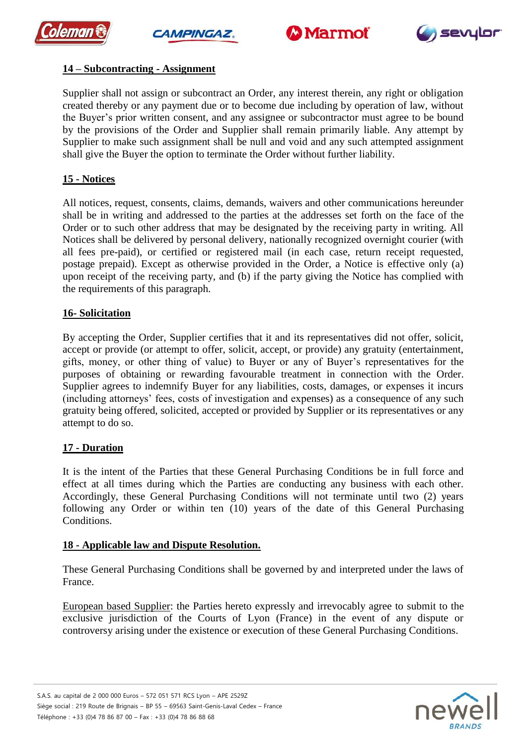







## **14 – Subcontracting - Assignment**

Supplier shall not assign or subcontract an Order, any interest therein, any right or obligation created thereby or any payment due or to become due including by operation of law, without the Buyer's prior written consent, and any assignee or subcontractor must agree to be bound by the provisions of the Order and Supplier shall remain primarily liable. Any attempt by Supplier to make such assignment shall be null and void and any such attempted assignment shall give the Buyer the option to terminate the Order without further liability.

## **15 - Notices**

All notices, request, consents, claims, demands, waivers and other communications hereunder shall be in writing and addressed to the parties at the addresses set forth on the face of the Order or to such other address that may be designated by the receiving party in writing. All Notices shall be delivered by personal delivery, nationally recognized overnight courier (with all fees pre-paid), or certified or registered mail (in each case, return receipt requested, postage prepaid). Except as otherwise provided in the Order, a Notice is effective only (a) upon receipt of the receiving party, and (b) if the party giving the Notice has complied with the requirements of this paragraph.

#### **16- Solicitation**

By accepting the Order, Supplier certifies that it and its representatives did not offer, solicit, accept or provide (or attempt to offer, solicit, accept, or provide) any gratuity (entertainment, gifts, money, or other thing of value) to Buyer or any of Buyer's representatives for the purposes of obtaining or rewarding favourable treatment in connection with the Order. Supplier agrees to indemnify Buyer for any liabilities, costs, damages, or expenses it incurs (including attorneys' fees, costs of investigation and expenses) as a consequence of any such gratuity being offered, solicited, accepted or provided by Supplier or its representatives or any attempt to do so.

#### **17 - Duration**

It is the intent of the Parties that these General Purchasing Conditions be in full force and effect at all times during which the Parties are conducting any business with each other. Accordingly, these General Purchasing Conditions will not terminate until two (2) years following any Order or within ten (10) years of the date of this General Purchasing Conditions.

#### **18 - Applicable law and Dispute Resolution.**

These General Purchasing Conditions shall be governed by and interpreted under the laws of France.

European based Supplier: the Parties hereto expressly and irrevocably agree to submit to the exclusive jurisdiction of the Courts of Lyon (France) in the event of any dispute or controversy arising under the existence or execution of these General Purchasing Conditions.

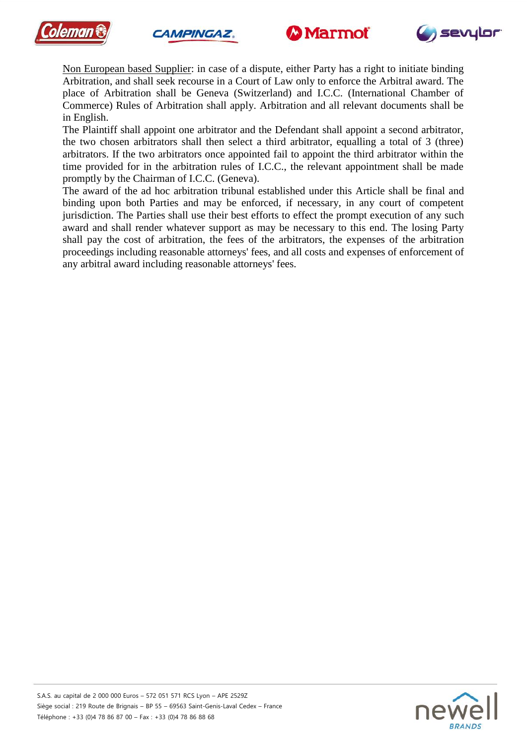







Non European based Supplier: in case of a dispute, either Party has a right to initiate binding Arbitration, and shall seek recourse in a Court of Law only to enforce the Arbitral award. The place of Arbitration shall be Geneva (Switzerland) and I.C.C. (International Chamber of Commerce) Rules of Arbitration shall apply. Arbitration and all relevant documents shall be in English.

The Plaintiff shall appoint one arbitrator and the Defendant shall appoint a second arbitrator, the two chosen arbitrators shall then select a third arbitrator, equalling a total of 3 (three) arbitrators. If the two arbitrators once appointed fail to appoint the third arbitrator within the time provided for in the arbitration rules of I.C.C., the relevant appointment shall be made promptly by the Chairman of I.C.C. (Geneva).

The award of the ad hoc arbitration tribunal established under this Article shall be final and binding upon both Parties and may be enforced, if necessary, in any court of competent jurisdiction. The Parties shall use their best efforts to effect the prompt execution of any such award and shall render whatever support as may be necessary to this end. The losing Party shall pay the cost of arbitration, the fees of the arbitrators, the expenses of the arbitration proceedings including reasonable attorneys' fees, and all costs and expenses of enforcement of any arbitral award including reasonable attorneys' fees.